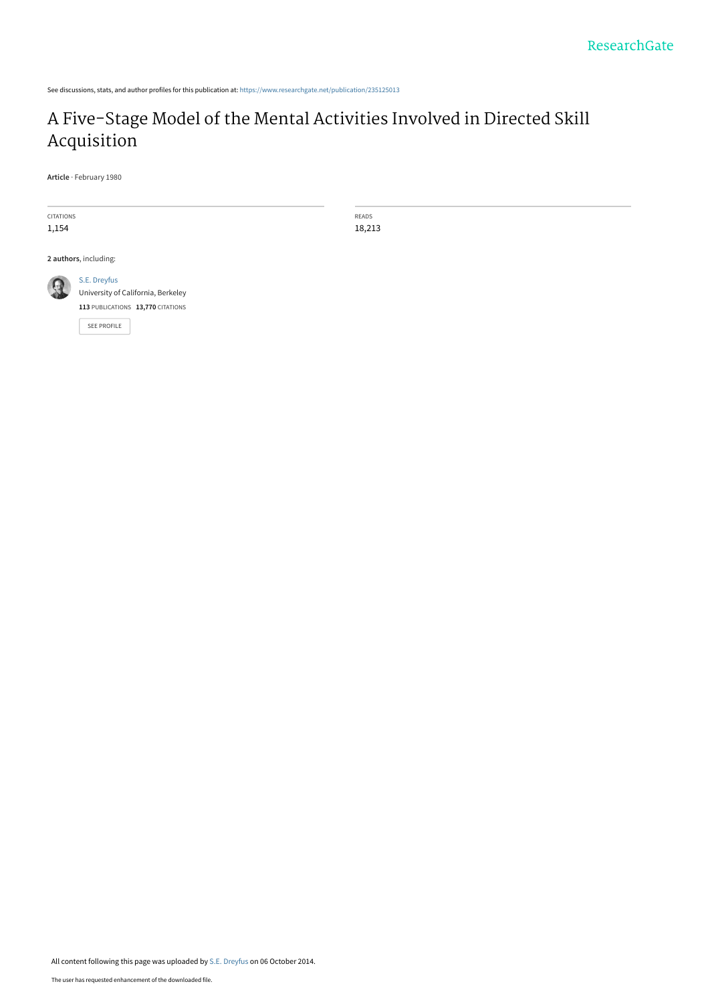See discussions, stats, and author profiles for this publication at: [https://www.researchgate.net/publication/235125013](https://www.researchgate.net/publication/235125013_A_Five-Stage_Model_of_the_Mental_Activities_Involved_in_Directed_Skill_Acquisition?enrichId=rgreq-bcb8c44a04d2208730e2d8d00358dbc5-XXX&enrichSource=Y292ZXJQYWdlOzIzNTEyNTAxMztBUzoxNDk0MzAzOTczMTMwMzBAMTQxMjYzODM5MTk0NQ%3D%3D&el=1_x_2&_esc=publicationCoverPdf)

## [A Five-Stage Model of the Mental Activities Involved in Directed Skill](https://www.researchgate.net/publication/235125013_A_Five-Stage_Model_of_the_Mental_Activities_Involved_in_Directed_Skill_Acquisition?enrichId=rgreq-bcb8c44a04d2208730e2d8d00358dbc5-XXX&enrichSource=Y292ZXJQYWdlOzIzNTEyNTAxMztBUzoxNDk0MzAzOTczMTMwMzBAMTQxMjYzODM5MTk0NQ%3D%3D&el=1_x_3&_esc=publicationCoverPdf) Acquisition

**Article** · February 1980

CITATIONS 1,154

READS 18,213

**2 authors**, including:



[University of California, Berkeley](https://www.researchgate.net/institution/University-of-California-Berkeley?enrichId=rgreq-bcb8c44a04d2208730e2d8d00358dbc5-XXX&enrichSource=Y292ZXJQYWdlOzIzNTEyNTAxMztBUzoxNDk0MzAzOTczMTMwMzBAMTQxMjYzODM5MTk0NQ%3D%3D&el=1_x_6&_esc=publicationCoverPdf) **113** PUBLICATIONS **13,770** CITATIONS

[SEE PROFILE](https://www.researchgate.net/profile/Se-Dreyfus?enrichId=rgreq-bcb8c44a04d2208730e2d8d00358dbc5-XXX&enrichSource=Y292ZXJQYWdlOzIzNTEyNTAxMztBUzoxNDk0MzAzOTczMTMwMzBAMTQxMjYzODM5MTk0NQ%3D%3D&el=1_x_7&_esc=publicationCoverPdf)

[S.E. Dreyfus](https://www.researchgate.net/profile/Se-Dreyfus?enrichId=rgreq-bcb8c44a04d2208730e2d8d00358dbc5-XXX&enrichSource=Y292ZXJQYWdlOzIzNTEyNTAxMztBUzoxNDk0MzAzOTczMTMwMzBAMTQxMjYzODM5MTk0NQ%3D%3D&el=1_x_5&_esc=publicationCoverPdf)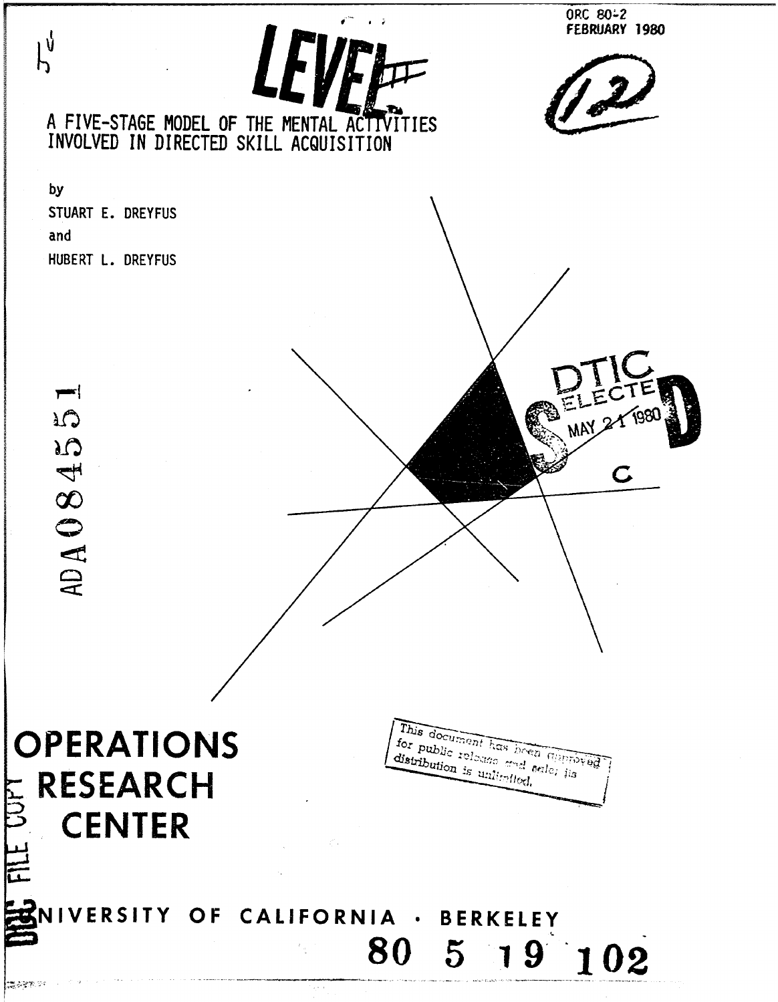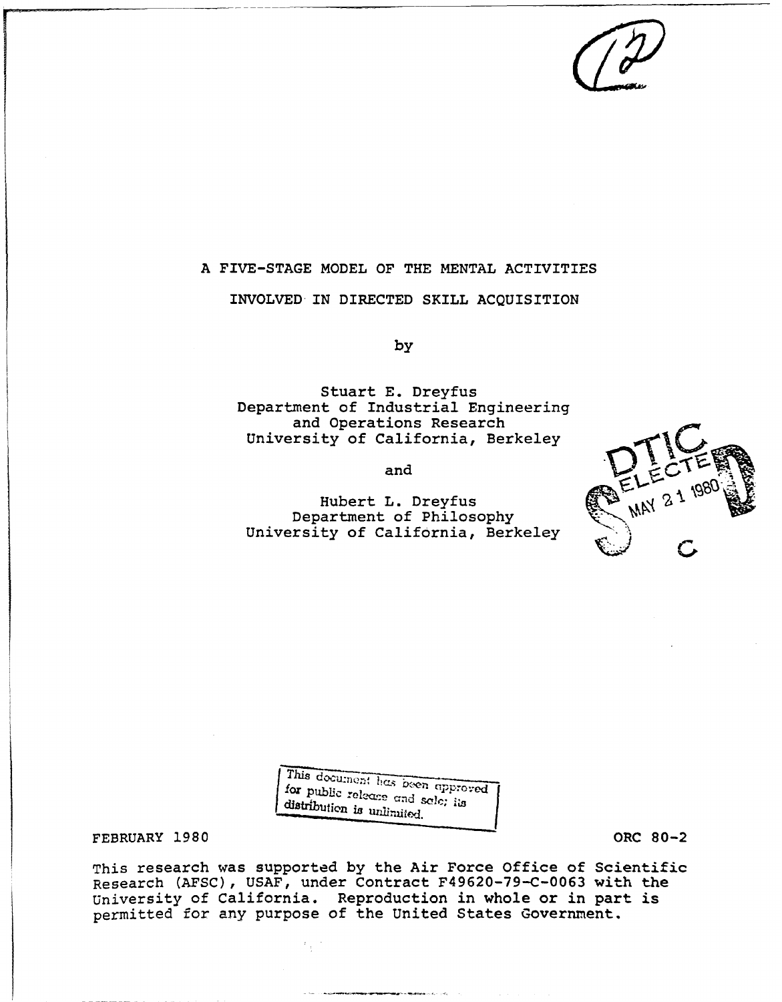# A FIVE-STAGE MODEL OF THE MENTAL ACTIVITIES INVOLVED IN DIRECTED SKILL ACQUISITION

by

Stuart E. Dreyfus Department of Industrial Engineering and Operations Research University of California, Berkeley

and

Hubert L. Dreyfus Department of Philosophy<br>University of California, Berkeley



This document has *been* approached for public release and sale; its distribution is unlimited.

FEBRUARY 1980 ORC 80-2

This research was supported by the Air Force Office of Scientific Research (AFSC), USAF, under Contract F49620-79-C-0063 with the University of California. Reproduction in whole or in part is permitted for any purpose of the United States Government.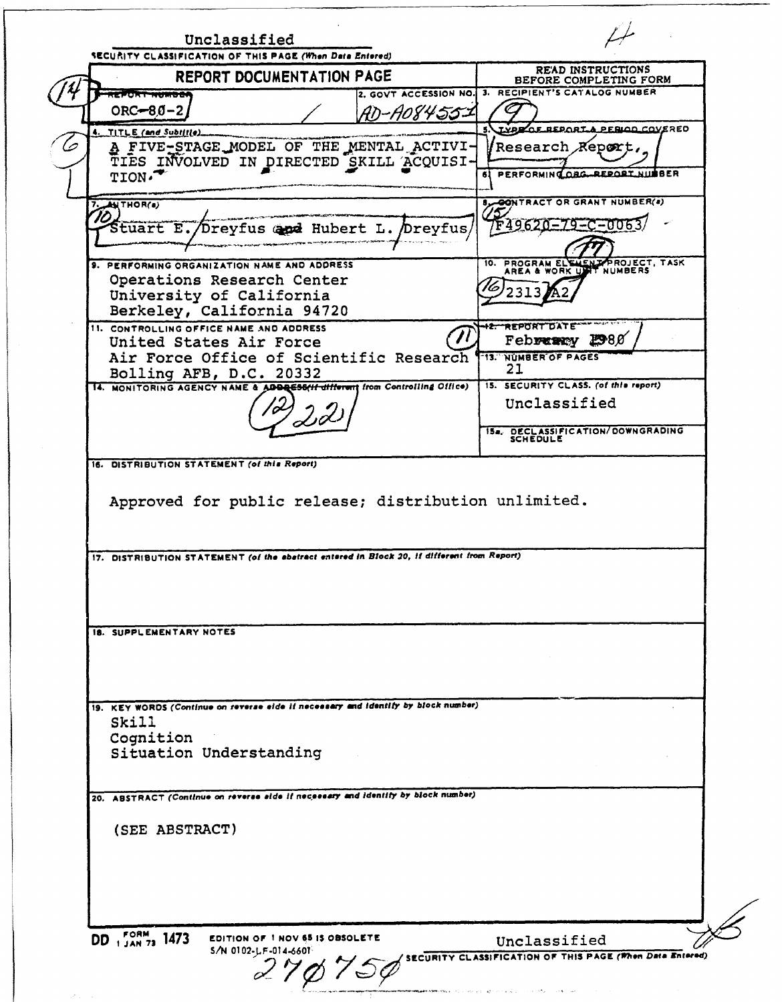Unclassified **SECURITY CLASSIFICATION OF THIS PAGE (When Date Entered)** REPORT DOCUMENTATION PAGE READ INSTRUCTIONS BEFORE COMPLETING FORM 2. GOVT ACCESSION NO. **3.** RECIPIENT'S CATALOG NUMBER  $\overline{1}$  ,  $\overline{2}$  ,  $\overline{2}$  ,  $\overline{2}$  ,  $\overline{2}$  ,  $\overline{2}$  ,  $\overline{2}$  ,  $\overline{2}$  $ORC = 80 - 2$ AD-AOS455-1 TITLE (and Subtitle) **CONTACT CONTACT CONTACT A PERIOD COVERED** *A* FIVE-STAGE MODEL OF THE MENTAL ACTIVI- Research Report, TIES INVOLVED IN DIRECTED SKILL ACQUISI-**61 PERFORMING ORG-REPORT NUMBER 7. ANTHOR(s) By CONTRACT OR GRANT NUMBER(s)** 70 962 ००६३ Stuart E./Dreyfus and Hubert L. Dreyfus 9. PERFORMING ORGANIZATION NAME AND ADDRESS 10. PROGRAM ELEMENT PROJECT, TASK Operations Research Center  $\sqrt{6/2313}$ University of California Berkeley, California 94720 11. CONTROLLING OFFICE NAME AND ADDRESS United States Air Force (1) February 2980 United States Air Force Air Force Office of Scientific Research **(13. NUMBER OF PAGES)**<br>Bolling AFB B C 20332 Bolling AFB, D.C. 20332<br>NONITOBING AGENCY NAME & ARRESSAL different from Controlling Office) 15. SECURITY CLASS. (of this report) 14. MONITORING AGENCY NAME & ADDRESS(11 different from Controlling Office) Unclassified 10 **ISa., DECLASSIFICATION/DOWNGRADING**<br>SCHEDULE **16.** DISTRIBUTION STATEMENT (of **this** *Report)* Approved for public release; distribution unlimited. 17. DISTRIBUTION STATEMENT *(of the* **abstract** *entered in Block 20,* **If** *different from Report)* **I8.** SUPPLEMENTARY **NOTES** 19. KEY WORDS (Continue *on reverse* **side** *if necessary and Identify by block number)* Skill Cognition Situation Understanding 20. ABSTRACT (Continue *on reverse aide It* necessary *and identity by block* number) (SEE ABSTRACT) **DD IFA** 1473 EDITION OF **I** NOV **65** IS OBSOLETE **EDITION OF 1 NOV 65 IS OBSOLETE**<br>S/N 0102-LF-014-6601<br>**COMPUTER SCRIPTY CLASSIFICATION OF THIS PAGE (When Data Entered)**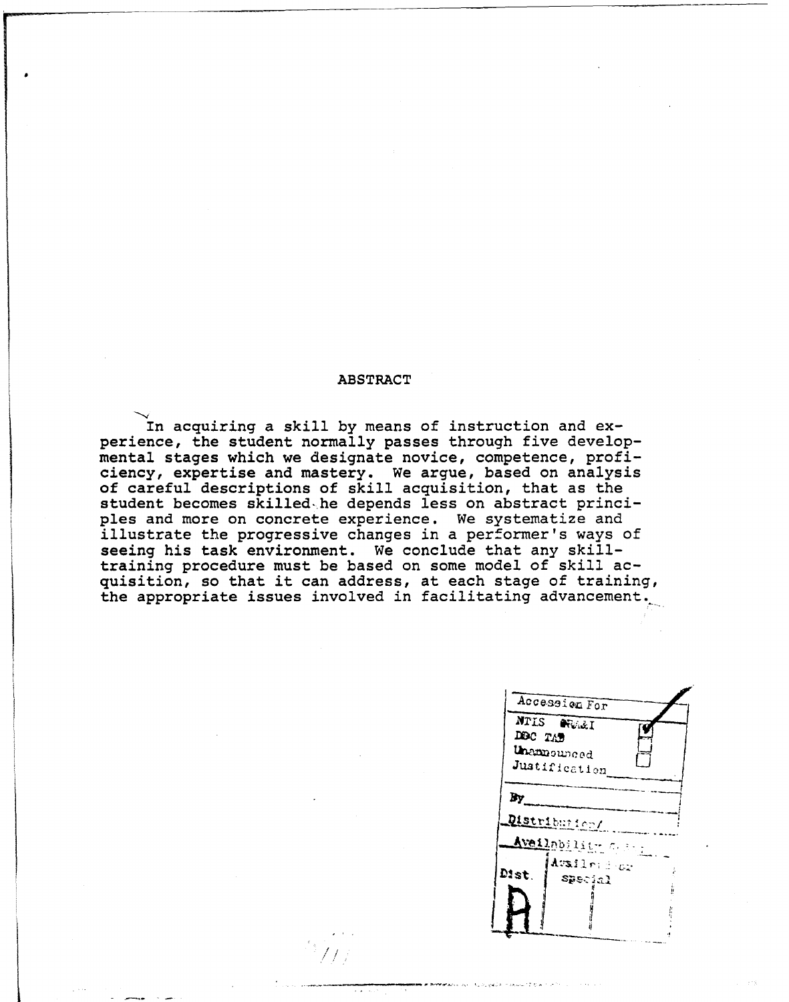## ABSTRACT

In acquiring a skill by means of instruction and experience, the student normally passes through five developmental stages which we designate novice, competence, proficiency, expertise and mastery. We argue, based on analysis of careful descriptions of skill acquisition, that as the student becomes skilled, he depends less on abstract principles and more on concrete experience. We systematize and illustrate the progressive changes in a performer's ways of seeing his task environment. We conclude that any skilltraining procedure must be based on some model of skill acquisition, so that it can address, at each stage of training, the appropriate issues involved in facilitating advancement.

 $\mathcal{L}$ 

| Accession For                   |  |
|---------------------------------|--|
| NTIS ORALI<br>DDC TAD           |  |
| Unamounced<br>Justification     |  |
| By                              |  |
| Distribution/                   |  |
| Aveilability C. B.              |  |
|                                 |  |
|                                 |  |
|                                 |  |
| Availred av<br>Dist.<br>Special |  |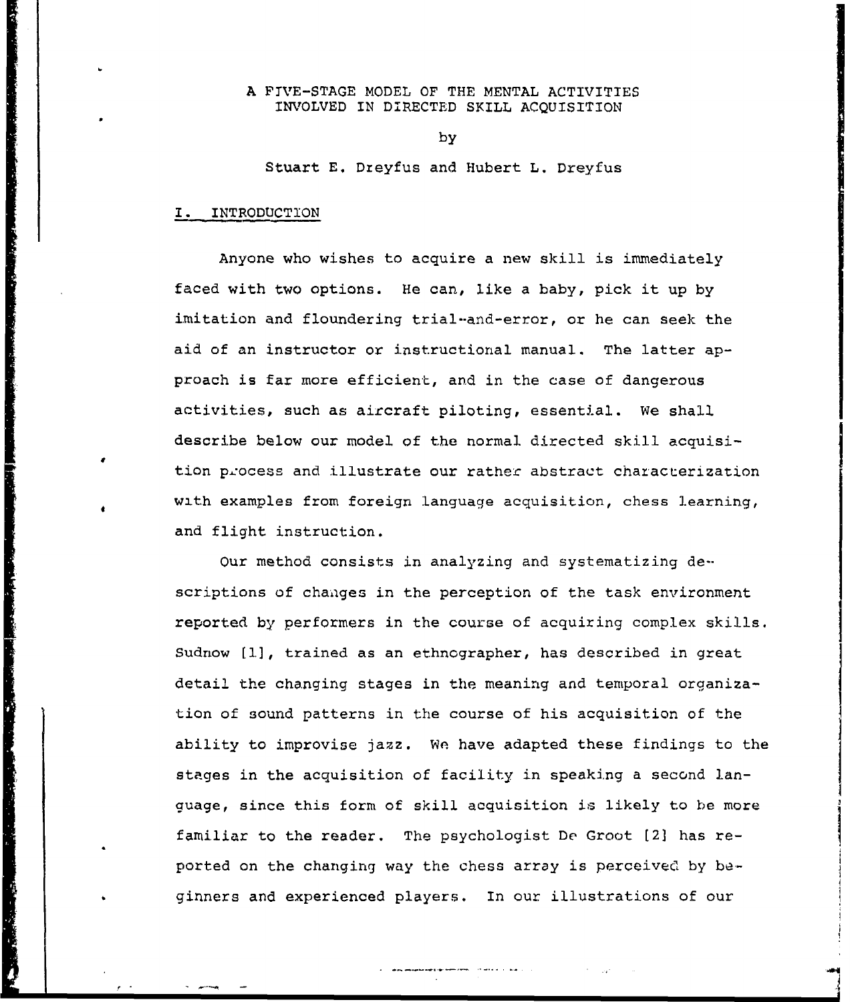## A FIVE-STAGE MODEL OF THE MENTAL ACTIVITIES INVOLVED IN DIRECTED SKILL ACQUISITION

by

Stuart E. Dreyfus and Hubert L. Dreyfus

## I. INTRODUCTION

Anyone who wishes to acquire a new skill is immediately faced with two options. He can, like a baby, pick it up by imitation and floundering trial-and-error, or he can seek the aid of an instructor or instructional manual. The latter approach is far more efficient, and in the case of dangerous activities, such as aircraft piloting, essential. We shall describe below our model of the normal directed skill acquisition process and illustrate our rather abstract characterization with examples from foreign language acquisition, chess learning, and flight instruction.

Our method consists in analyzing and systematizing de-scriptions of changes in the perception of the task environment reported by performers in the course of acquiring complex skills. Sudnow [1], trained as an ethnographer, has described in great detail the changing stages in the meaning and temporal organization of sound patterns in the course of his acquisition of the ability to improvise jazz. We have adapted these findings to the stages in the acquisition of facility in speaking a second language, since this form of skill acquisition is likely to be more familiar to the reader. The psychologist De Groot [2] has reported on the changing way the chess array is perceived by beginners and experienced players. In our illustrations of our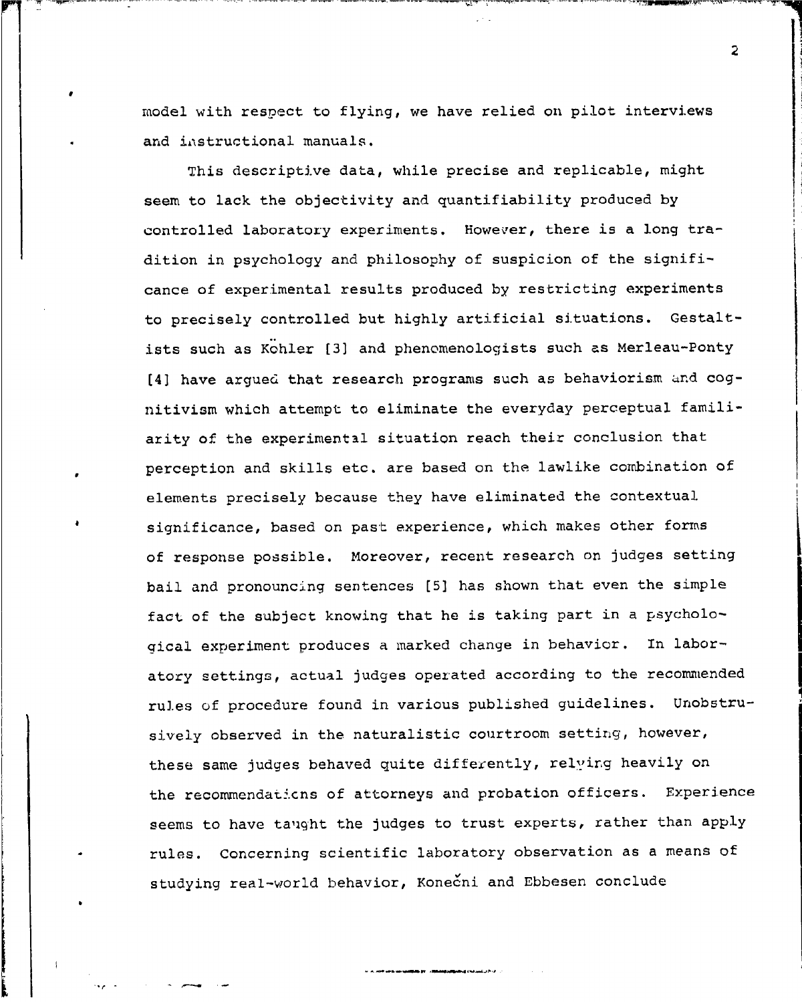model with respect to flying, we have relied on pilot interviews and instructional manuals.

This descriptive data, while precise and replicable, might seem to lack the objectivity and quantifiability produced by controlled laboratory experiments. However, there is a long tradition in psychology and philosophy of suspicion of the significance of experimental results produced by restricting experiments to precisely controlled but highly artificial situations. Gestaltists such as Kohler [3] and phenomenologists such as Merleau-Ponty [4] have argued that research programs such as behaviorism and cognitivism which attempt to eliminate the everyday perceptual familiarity of the experimental situation reach their conclusion that perception and skills etc. are based on the lawlike combination of elements precisely because they have eliminated the contextual significance, based on past experience, which makes other forms of response possible. Moreover, recent research on judges setting bail and pronouncing sentences [5] has shown that even the simple fact of the subject knowing that he is taking part in a psychological experiment produces a marked change in behavior. In laboratory settings, actual judges operated according to the recommended rules of procedure found in various published guidelines. Unobstrusively observed in the naturalistic courtroom setting, however, these same judges behaved quite differently, relying heavily on the recommendaticns of attorneys and probation officers. Experience seems to have taught the judges to trust experts, rather than apply rules. Concerning scientific laboratory observation as a means of studying real-world behavior, Konečni and Ebbesen conclude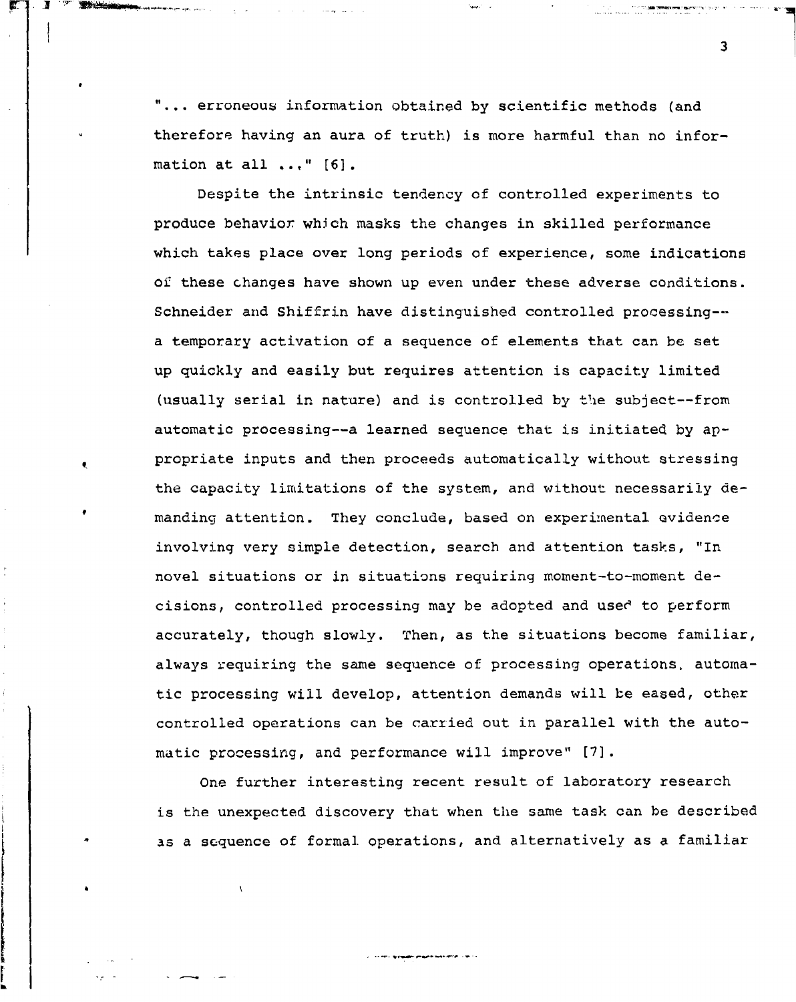"... erroneous information obtained by scientific methods (and therefore having an aura of truth) is more harmful than no information at all **... "** [6].

The Prompt

Despite the intrinsic tendency of controlled experiments to produce behavior which masks the changes in skilled performance which takes place over long periods of experience, some indications of these changes have shown up even under these adverse conditions. Schneider and Shiffrin have distinguished controlled processing- a temporary activation of a sequence of elements that can **be** set up quickly and easily but requires attention is capacity limited (usually serial in nature) and is controlled by the subject--from automatic processing--a learned sequence that is initiated by appropriate inputs and then proceeds automatically without stressing the capacity limitations of the system, and without necessarily demanding attention. They conclude, based on experimental evidence involving very simple detection, search and attention tasks, "In novel situations or in situations requiring moment-to-moment decisions, controlled processing may be adopted and used to perform accurately, though slowly. Then, as the situations become familiar, always requiring the same sequence of processing operations, automatic processing will develop, attention demands will be eased, other controlled operations can be carried out in parallel with the automatic processing, and performance will improve" *[7].*

One further interesting recent result of laboratory research is the unexpected discovery that when the same task can be described as a sequence of formal operations, and alternatively as a familiar

**Contract in the property program was a strictly in the co**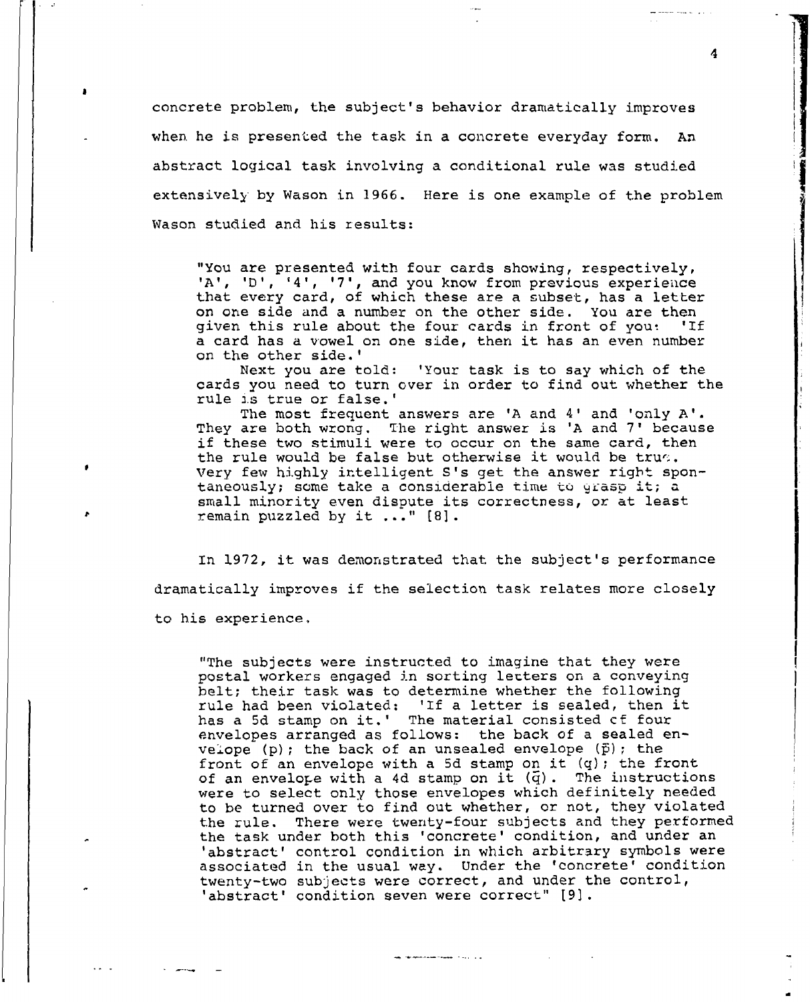concrete problem, the subject's behavior dramatically improves when he is presented the task in a concrete everyday form. An abstract logical task involving a conditional rule was studied extensively by Wason in 1966. Here is one example of the problem Wason studied and his results:

"You are presented with four cards showing, respectively, 'A', 'D', '4', '7', and you know from previous experience that every card, of which these are a subset, has a letter on one side and a number on the other side. You are then given this rule about the four cards in front of yout 'If a card has a vowel on one side, then it has an even number on the other side.'

Next you are told: 'Your task is to say which of the cards you need to turn over in order to find out whether the rule is true or false.'

The most frequent answers are 'A and 4' and 'only A'. They are both wrong. The right answer is 'A and 7' because if these two stimuli were to occur on the same card, then the rule would be false but otherwise it would be true. Very few highly intelligent S's get the answer right spontaneously; some take a considerable time to grasp it; a small minority even dispute its correctness, or at least remain puzzled by it **... "** [8].

In 1972, it was demonstrated that the subject's performance dramatically improves if the selection task relates more closely to his experience,

"The subjects were instructed to imagine that they were postal workers engaged in sorting letters on a conveying belt; their task was to determine whether the following peit; their task was to determine whether the forfowing<br>rule had been violated: 'If a letter is sealed, then i has a 5d stamp on it.' The material consisted of four envelopes arranged as follows: the back of a sealed envelope (p); the back of an unsealed envelope **(f);** the front of an envelope with a **5d** stamp on it (q); the front of an envelope with a 4d stamp on it  $(\bar{q})$ . The instructions were to select only those envelopes which definitely needed to be turned over to find out whether, or not, they violated the rule. There were twenty-four subjects and they performed the task under both this 'concrete' condition, and under an 'abstract' control condition in which arbitrary symbols were associated in the usual way. Under the 'concrete' condition twenty-two subjects were correct, and under the control, 'abstract' condition seven were correct" [9).

and the constraint contract of the contract

4

mental and a special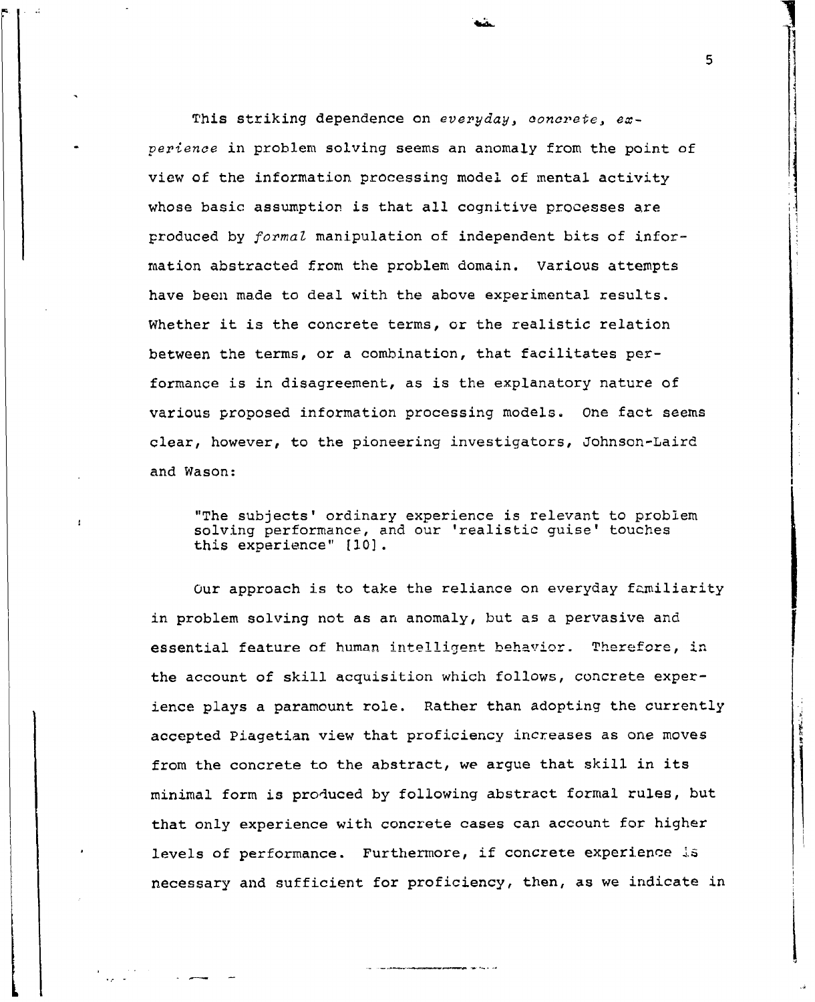This striking dependence on *everyday, concrete, experience* in problem solving seems an anomaly from the point of view of the information processing model of mental activity whose basic assumption is that all cognitive processes are produced by *formaZ* manipulation of independent bits of information abstracted from the problem domain. Various attempts have been made to deal with the above experimental results. Whether it is the concrete terms, or the realistic relation between the terms, or a combination, that facilitates performance is in disagreement, as is the explanatory nature of various proposed information processing models. One fact seems clear, however, to the pioneering investigators, Johnson-Laird and Wason:

"The subjects' ordinary experience is relevant to problem solving performance, and our 'realistic guise' touches this experience" **[10].**

Our approach is to take the reliance on everyday familiarity in problem solving not as an anomaly, but as a pervasive and essential feature of human intelligent behavior. Therefore, in the account of skill acquisition which follows, concrete experience plays a paramount role. Rather than adopting the currently accepted Piagetian view that proficiency increases as one moves from the concrete to the abstract, we argue that skill in its minimal form is produced by following abstract formal rules, but that only experience with concrete cases can account for higher levels of performance. Furthermore, if concrete experience is necessary and sufficient for proficiency, then, as we indicate in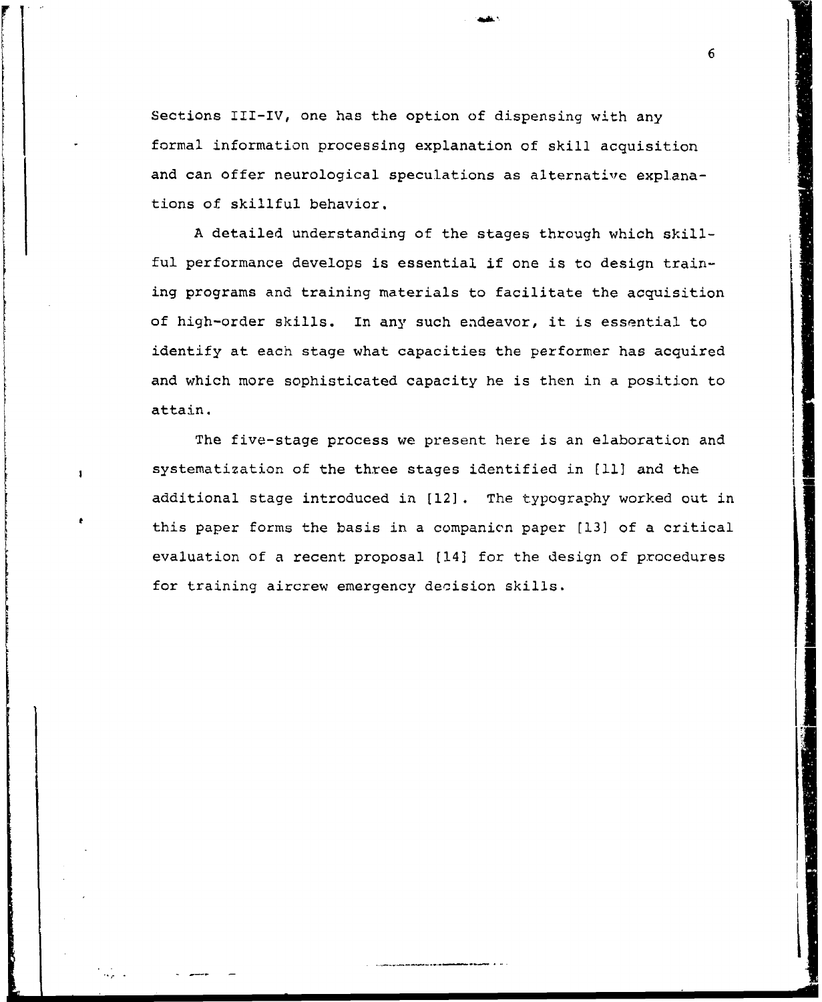Sections III-IV, one has the option of dispensing with any formal information processing explanation of skill acquisition and can offer neurological speculations as alternative explanations of skillful behavior.

A detailed understanding of the stages through which skillful performance develops is essential if one is to design training programs and training materials to facilitate the acquisition of high-order skills. In any such endeavor, it is essential to identify at each stage what capacities the performer has acquired and which more sophisticated capacity he is then in a position to attain.

The five-stage process we present here is an elaboration and systematization of the three stages identified in **[11)** and the additional stage introduced in [12]. The typography worked out in this paper forms the basis in a companicn paper [13) of a critical evaluation of a recent proposal (14) for the design of procedures for training aircrew emergency decision skills.

6

.<br>1940 - Paul Barbara<br>1940 - Paul Barbara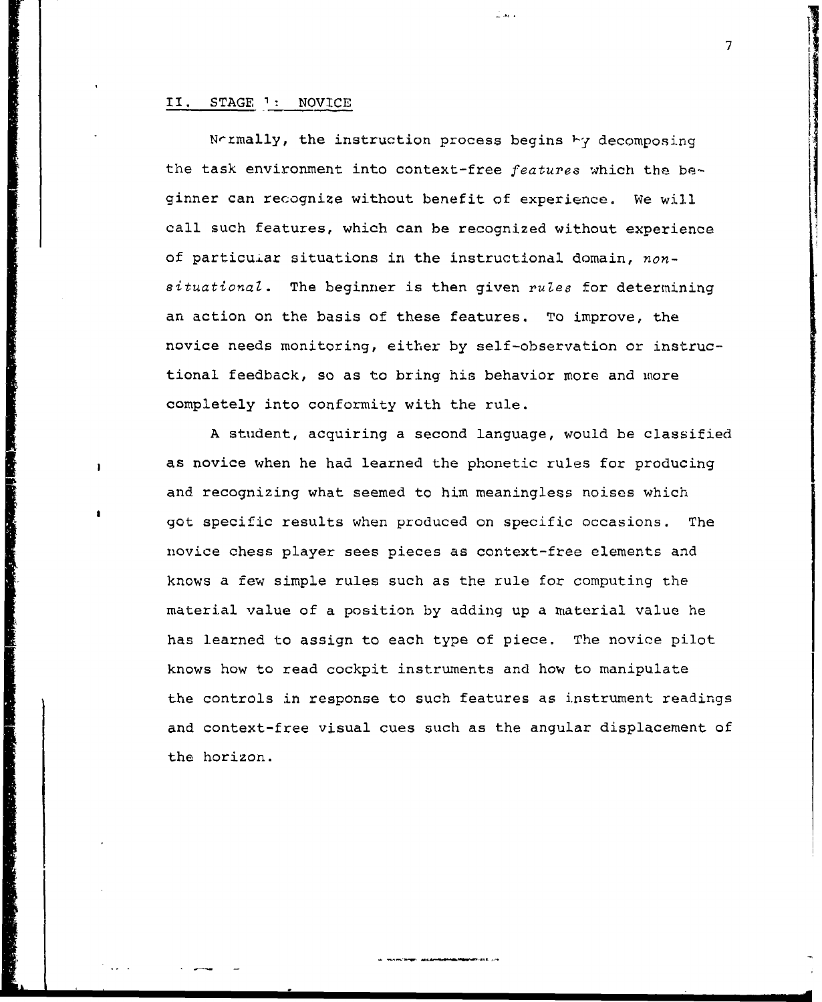#### II. STAGE ': NOVICE

Normally, the instruction process begins by decomposing the task environment into context-free features which the beginner can recognize without benefit of experience. We will call such features, which can be recognized without experience of particuiar situations in the instructional domain, non $situational.$  The beginner is then given rules for determining an action on the basis of these features. To improve, the novice needs monitoring, either by self-observation or instructional feedback, so as to bring his behavior more and more completely into conformity with the rule.

ú as i

A student, acquiring a second language, would be classified as novice when he had learned the phonetic rules for producing and recognizing what seemed to him meaningless noises which got specific results when produced on specific occasions. The novice chess player sees pieces as context-free elements and knows a few simple rules such as the rule for computing the material value of a position by adding up a material value he has learned to assign to each type of piece. The novice pilot knows how to read cockpit instruments and how to manipulate the controls in response to such features as instrument readings and context-free visual cues such as the angular displacement of the horizon.

**<sup>7</sup>**ii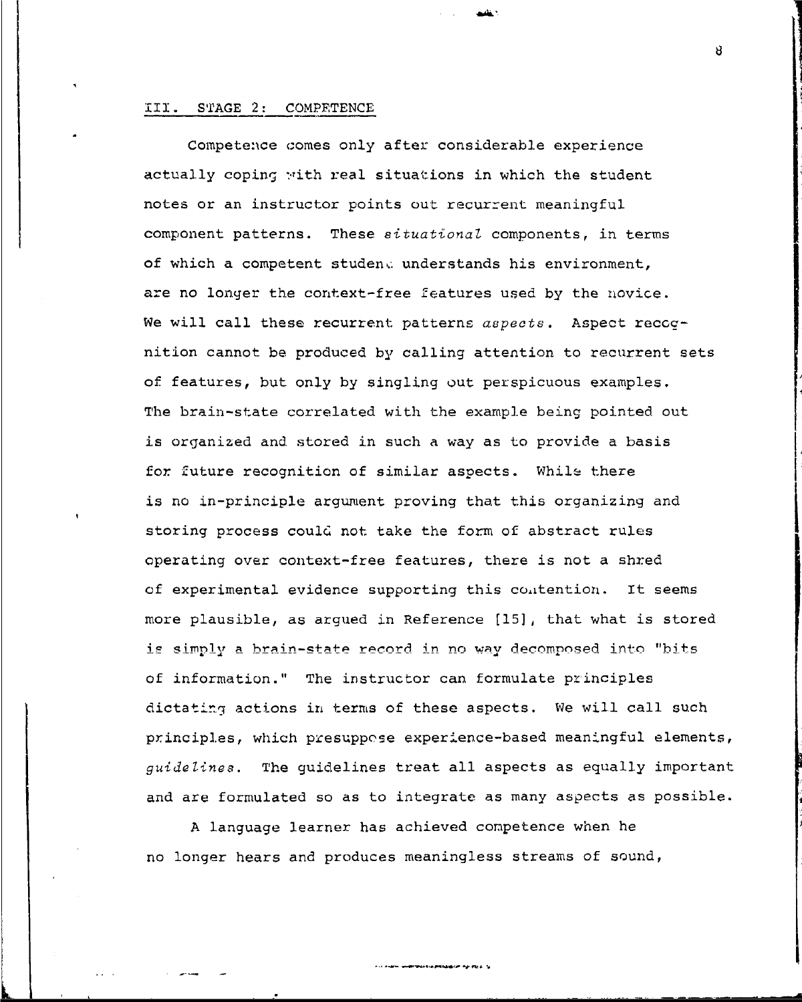## iII. STAGE 2: COMPETENCE

Competence comes only after considerable experience actually coping with real situations in which the student notes or an instructor points out recurrent meaningful component patterns. These situational components, in terms of which a competent studene understands his environment, are no longer the context-free features used by the novice. We will call these recurrent patterns aspects. Aspect recognition cannot be produced by calling attention to recurrent sets of features, but only by singling out perspicuous examples. The brain-state correlated with the example being pointed out is organized and stored in such a way as to provide a basis for future recognition of similar aspects. While there is no in-principle argument proving that this organizing and storing process could not take the form of abstract rules operating over context-free features, there is not a shred of experimental evidence supporting this contention. It seems more plausible, as argued in Reference [15], that what is stored is simply a brain-state record in no way decomposed into "bits of information." The instructor can formulate principles dictating actions in terms of these aspects. We will call such principles, which presuppose experience-based meaningful elements, *guidelines.* The guidelines treat all aspects as equally important and are formulated so as to integrate as many aspects as possible.

A language learner has achieved conpetence when he no longer hears and produces meaningless streams of sound,

**BONAS-ERMANCE PERSE** 

R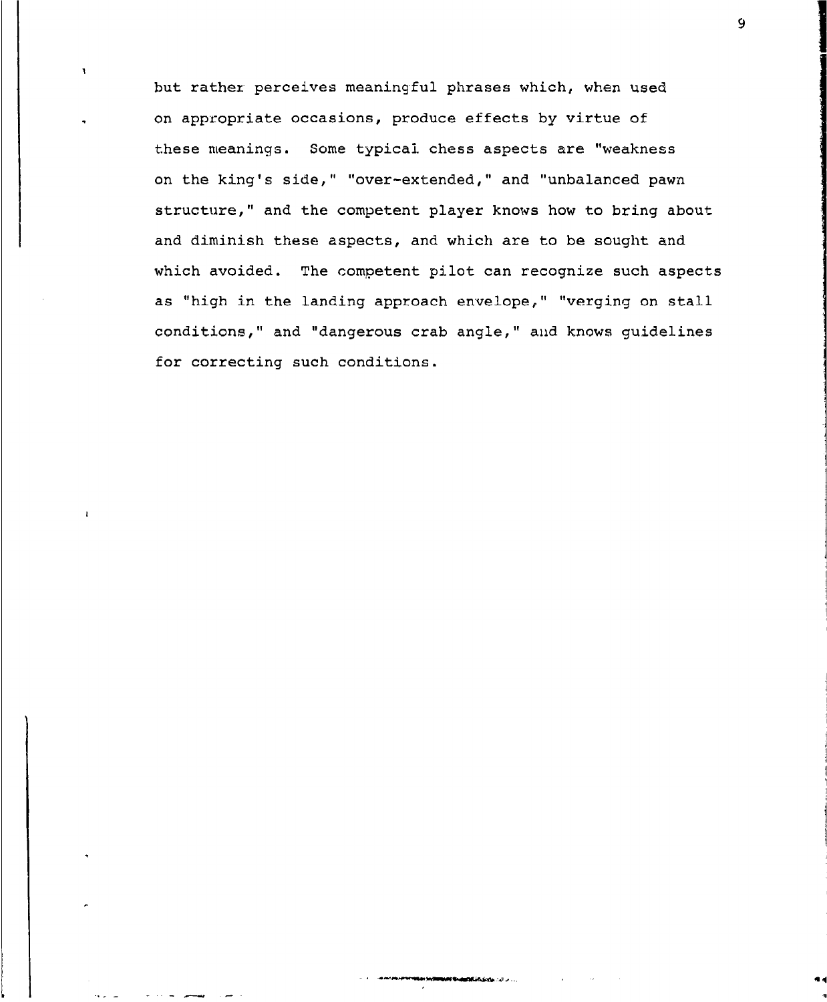but rathez perceives meaningful phrases which, when used on appropriate occasions, produce effects by virtue of these meanings. Some typical chess aspects are "weakness on the king's side," "over-extended," and "unbalanced pawn structure," and the competent player knows how to bring about and diminish these aspects, and which are to be sought and which avoided. The competent pilot can recognize such aspects as "high in the landing approach envelope," "verging on stall conditions," and "dangerous crab angle," and knows guidelines for correcting such conditions.

 $\mathbf{r}$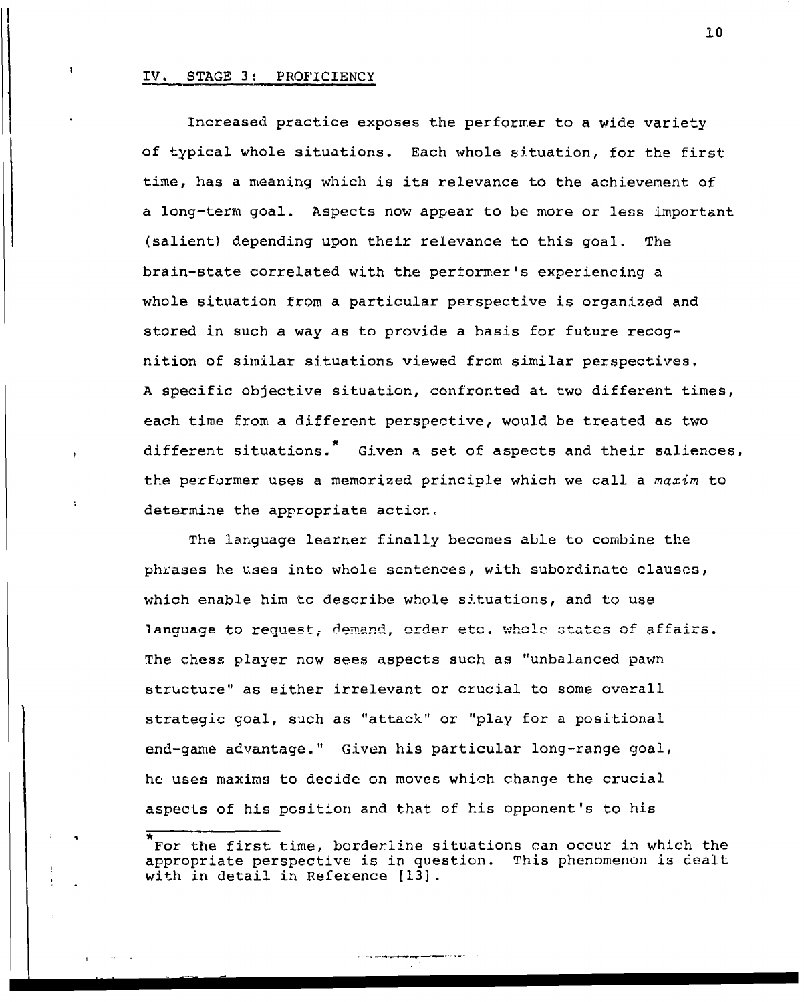#### IV. STAGE 3: PROFICIENCY

I . I . 11  $\sim$  . I . 11  $\sim$  . I . 11  $\sim$  . I . 11  $\sim$  . I . 11  $\sim$  . I . 11  $\sim$  . I . 11

Increased practice exposes the performer to a wide variety of typical whole situations. Each whole situation, for the first time, has a meaning which is its relevance to the achievement of a long-term goal. Aspects now appear to be more or less important (salient) depending upon their relevance to this goal. The brain-state correlated with the performer's experiencing a whole situation from a particular perspective is organized and stored in such a way as to provide a basis for future recognition of similar situations viewed from similar perspectives. A specific objective situation, confronted at two different times, each time from a different perspective, would be treated as two different situations.<sup>7</sup> Given a set of aspects and their saliences, the performer uses a memorized principle which we call a maxim to determine the appropriate action,

The language learner finally becomes able to combine the phrases he uses into whole sentences, with subordinate clauses, which enable him to describe whole situations, and to use language to request, demand, order etc. whole states of affairs. The chess player now sees aspects such as "unbalanced pawn structure" as either irrelevant or crucial to some overall strategic goal, such as "attack" or "play for a positional end-game advantage." Given his particular long-range goal, he uses maxims to decide on moves which change the crucial aspects of his position and that of his opponent's to his

For the first time, borderline situations can occur in which the appropriate perspective is in question. This phenomenon is dealt with in detail in Reference [13].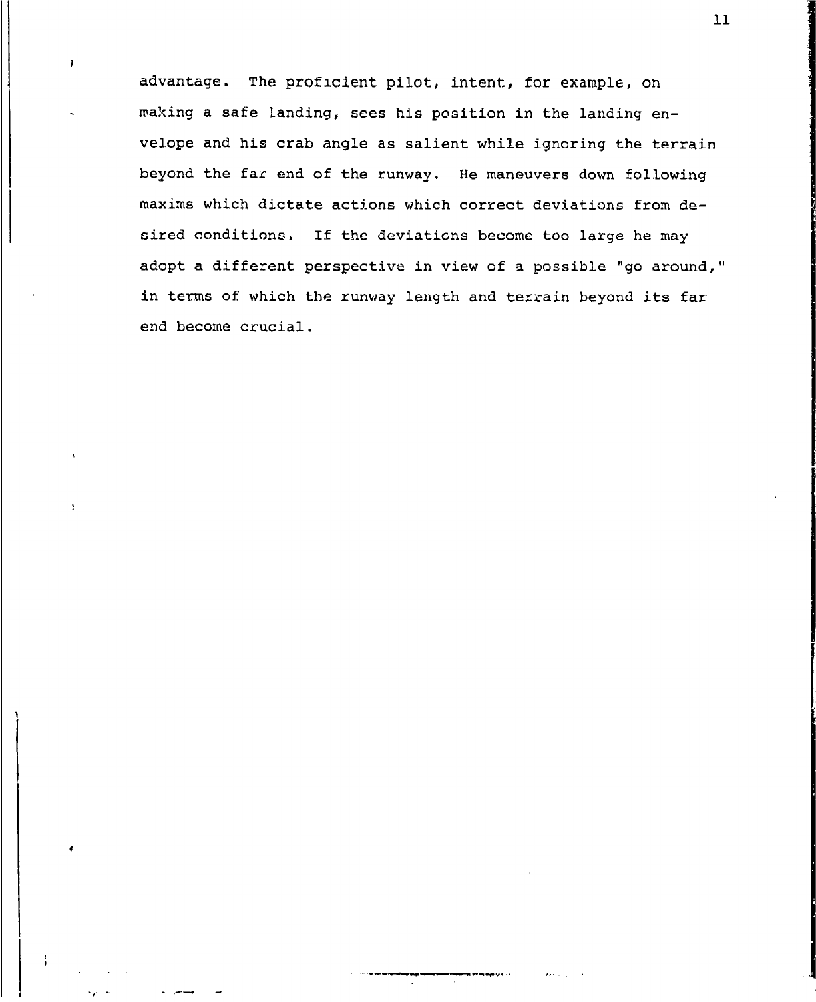advantage. The proficient pilot, intent, for example, on making a safe landing, sees his position in the landing envelope and his crab angle as salient while ignoring the terrain beyond the far end of the runway. He maneuvers down following maxims which dictate actions which correct deviations from desired conditions. If the deviations become too large he may adopt a different perspective in view of a possible "go around," in terms of which the runway length and terrain beyond its far end become crucial.

Ĭ

٠,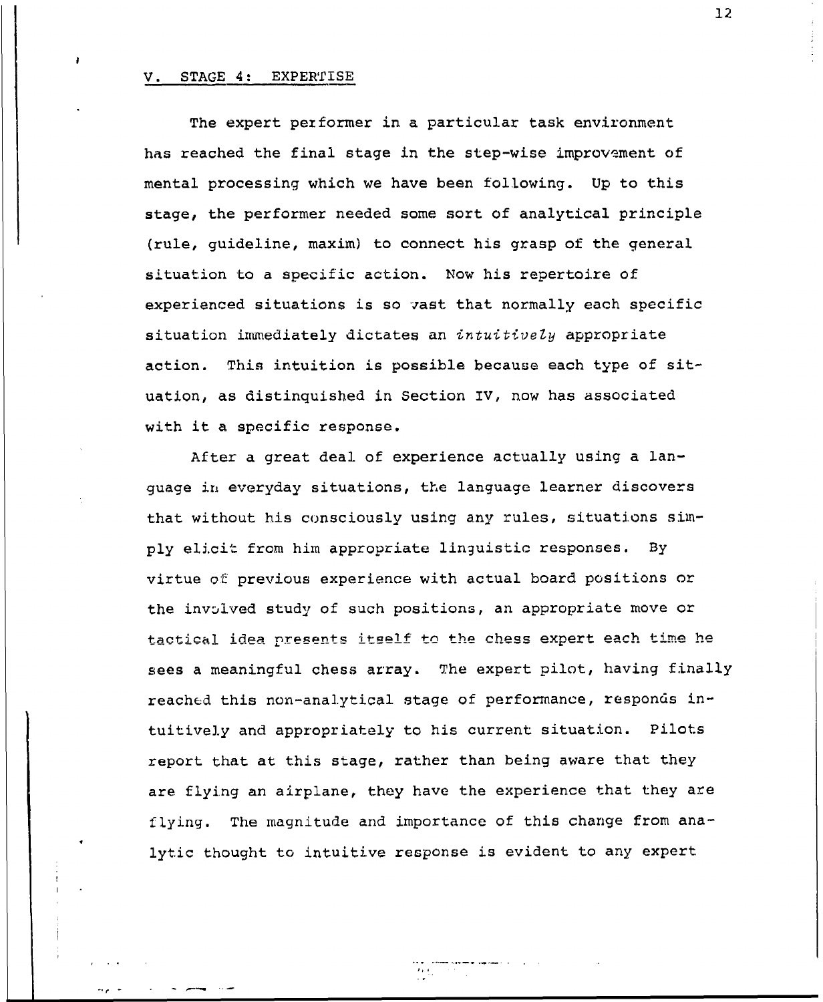#### V. STAGE 4: EXPERTISE

The expert performer in a particular task environment has reached the final stage in the step-wise improvement of mental processing which we have been following. Up to this stage, the performer needed some sort of analytical principle (rule, guideline, maxim) to connect his grasp of the general situation to a specific action. Now his repertoire of experienced situations is so vast that normally each specific situation immediately dictates an intuitively appropriate action. This intuition is possible because each type of situation, as distinquished in Section IV, now has associated with it a specific response.

After a great deal of experience actually using a language in everyday situations, the language learner discovers that without his consciously using any rules, situations simply elicit from him appropriate linguistic responses. By virtue **of** previous experience with actual board positions or the involved study of such positions, an appropriate move or tactical idea presents itself to the chess expert each time he sees a meaningful chess array. The expert pilot, having finally reached this non-analytical stage of performance, responds intuitively and appropriately to his current situation. Pilots report that at this stage, rather than being aware that they are flying an airplane, they have the experience that they are flying. The magnitude and importance of this change from analytic thought to intuitive response is evident to any expert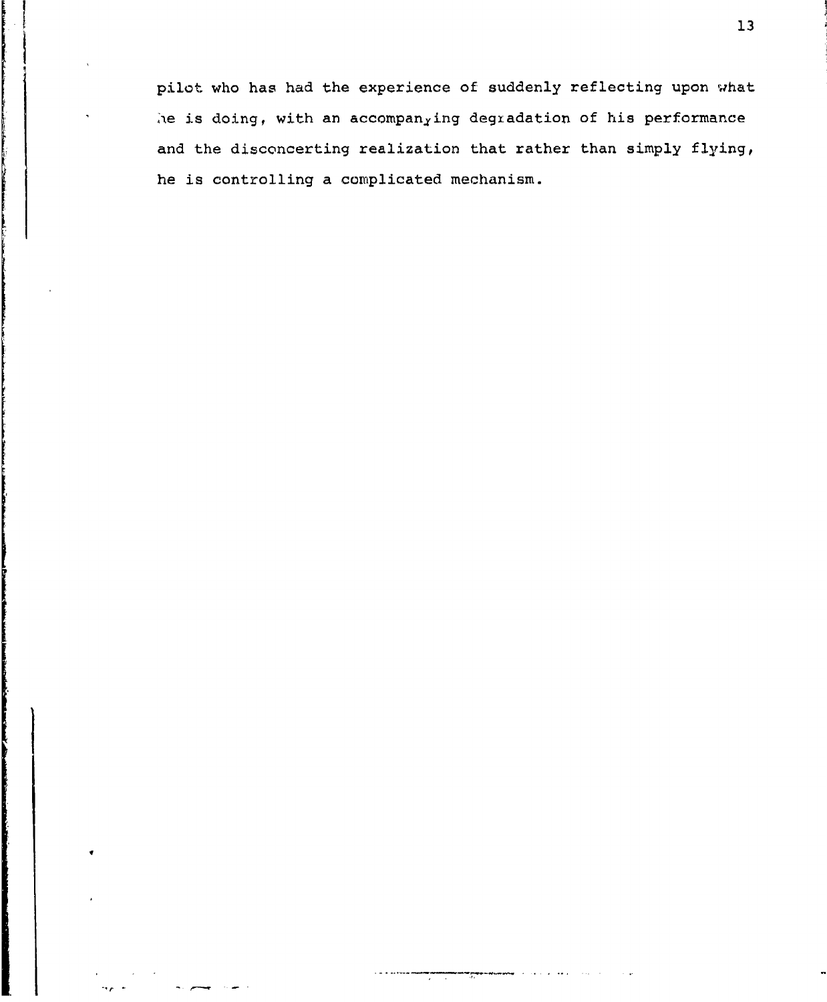pilot who has had the experience of suddenly reflecting upon what he is doing, with an accompanying degradation of his performance and the disconcerting realization that rather than simply flying, he is controlling a complicated mechanism.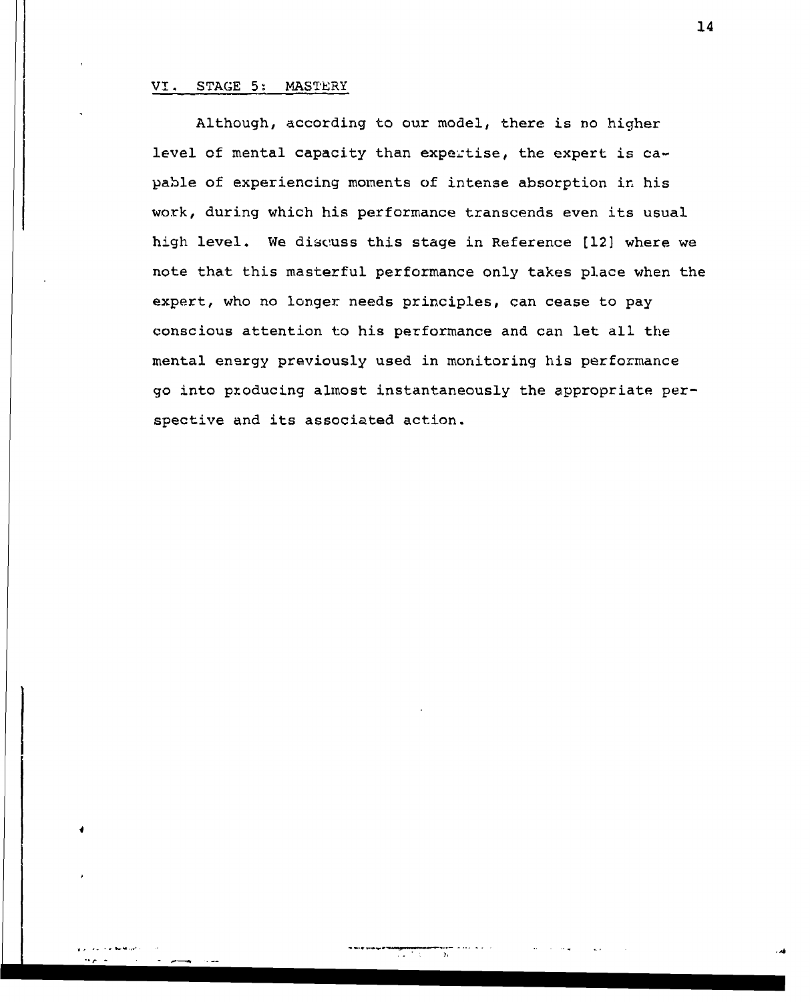## *VI.* STAGE **5-** MASTERY

Although, according to our model, there is no higher level of mental capacity than expertise, the expert is  $ca$ pable of experiencing moments of intense absorption in his work, during which his performance transcends even its usual high level. We discuss this stage in Reference [12] where we note that this masterful performance only takes place when the expert, who no longer needs principles, can cease to pay conscious attention to his performance and can let all the mental energy previously used in monitoring his performance go into pzoducing almost instantaneously the appropriate perspective and its associated action.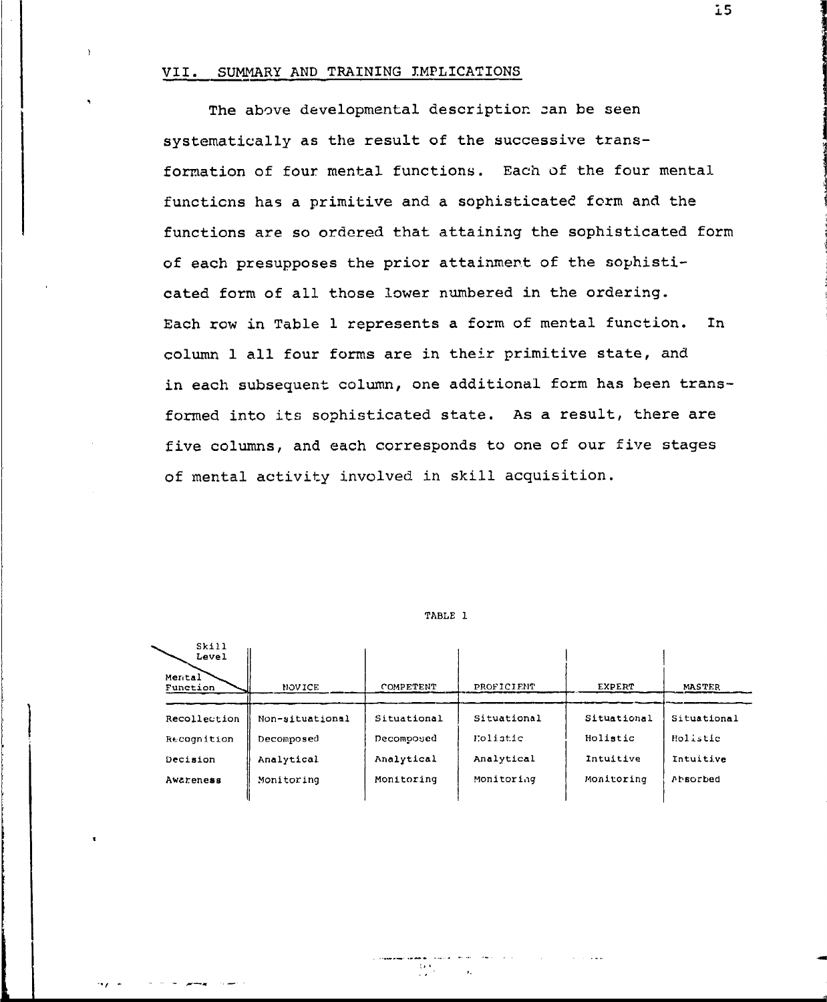## VII. SUMMARY AND TRAINING IMPLICATIONS

The above developmental description zan be seen systematically as the result of the successive transformation of four mental functions. Each of the four mental functicns has a primitive and a sophisticated form and the functions are so ordered that attaining the sophisticated form of each presupposes the prior attainment of the sophisticated form of all those lower numbered in the ordering. Each row in Table 1 represents a form of mental function. In column 1 all four forms are in their primitive state, and in each subsequent column, one additional form has been transformed into its sophisticated state. As a result, there are five columns, and each corresponds to one of our five stages of mental activity involved in skill acquisition.

#### TABLE 1

skill<sup>1</sup>

| .<br>Level<br>Mental<br>Function | <b>NOVICE</b>   | COMPETENT   | PROFICIENT  | EXPERT      | MASTER      |  |
|----------------------------------|-----------------|-------------|-------------|-------------|-------------|--|
| Recollection                     | Non-situational | Situational | Situational | Situational | Situational |  |
| Recognition                      | Decomposed      | Decomposed  | Eolistic    | Holistic    | Holistic    |  |
| Decision                         | Analytical      | Analytical  | Analytical  | Intuitive   | Intuitive   |  |
| Awareness                        | Monitoring      | Monitoring  | Monitoring  | Monitoring  | Ahsorbed    |  |
|                                  |                 |             |             |             |             |  |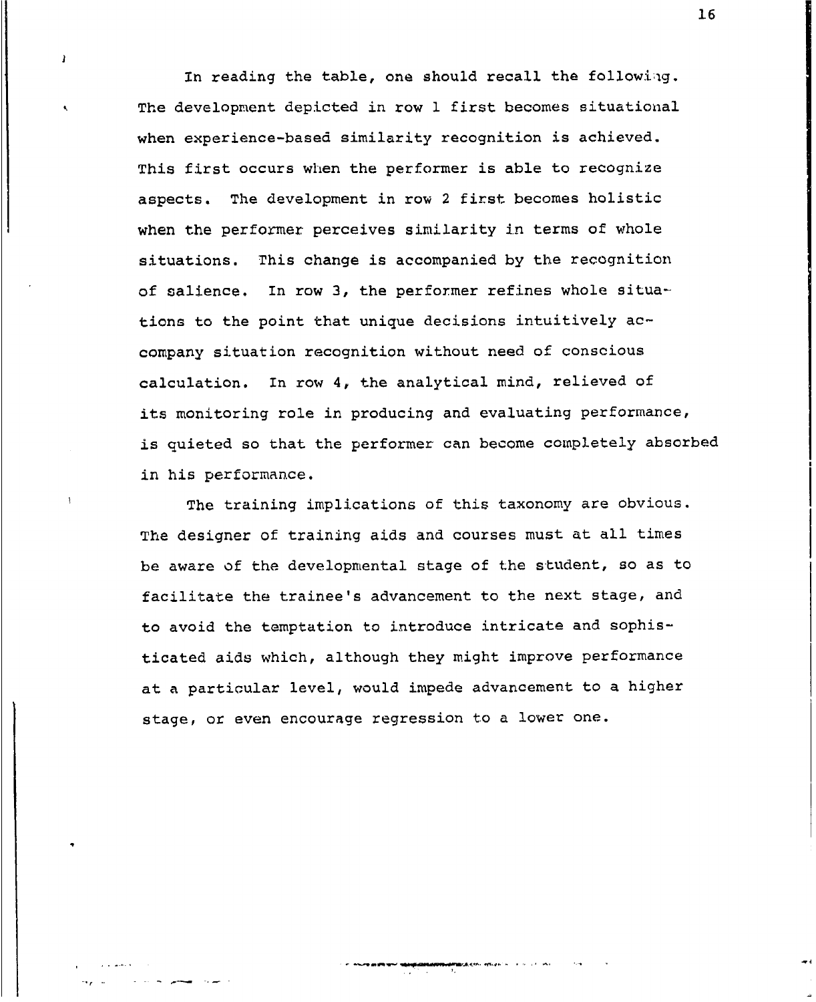In reading the table, one should recall the following. The development depicted in row 1 first becomes situational when experience-based similarity recognition is achieved. This first occurs when the performer is able to recognize aspects. The development in row 2 first becomes holistic when the performer perceives similarity in terms of whole situations. This change is accompanied by the recognition of salience. In row 3, the performer refines whole situations to the point that unique decisions intuitively accompany situation recognition without need of conscious calculation. In row 4, the analytical mind, relieved of its monitoring role in producing and evaluating performance, is quieted so that the performer can become completely absorbed in his performance.

 $\mathbf{I}$ 

The training implications of this taxonomy are obvious. The designer of training aids and courses must at all times be aware of the developmental stage of the student, so as to facilitate the trainee's advancement to the next stage, and to avoid the temptation to introduce intricate and sophisticated aids which, although they might improve performance at a particular level, would impede advancement to a higher stage, or even encourage regression to a lower one.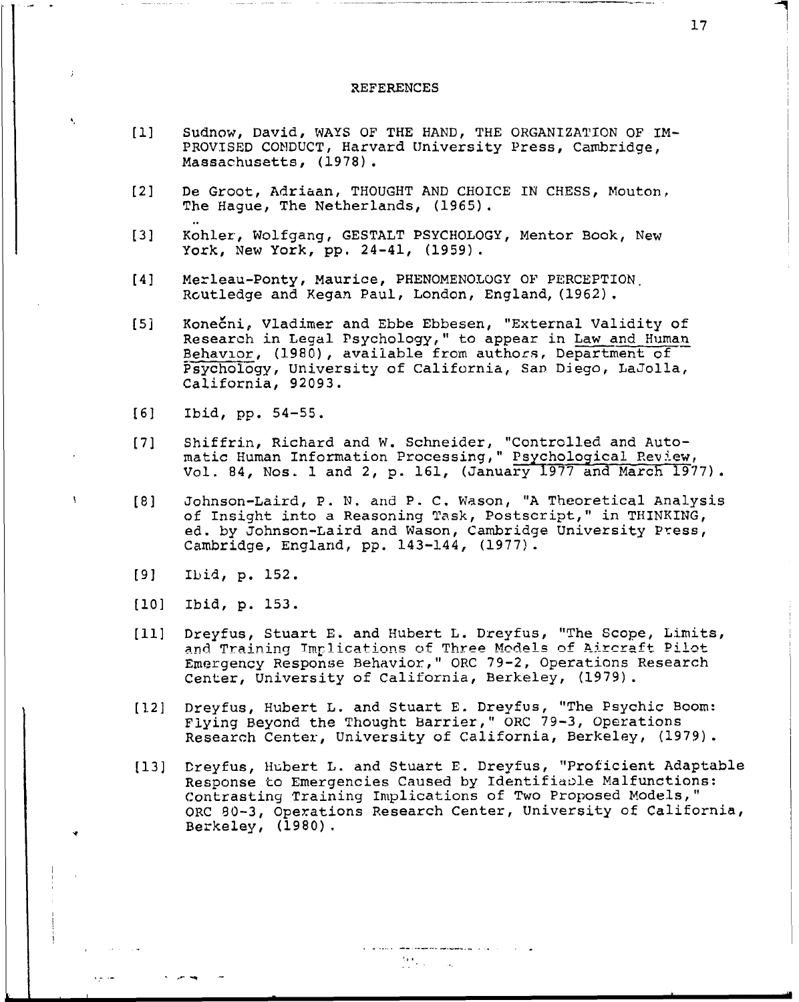#### REFERENCES

- **[Il** Sudnow, David, WAYS OF THE HAND, THE ORGANIZATION OF IM-PROVISED CONDUCT, Harvard University Press, Cambridge, Massachusetts, (1978).
- [2] De Groot, Adriaan, THOUGHT AND CHOICE IN CHESS, Mouton, The Hague, The Netherlands, (1965).
- [3] Kohler, Wolfgang, GESTALT PSYCHOLOGY, Mentor Book, New York, New York, pp. 24-41, (1959).
- [4] Merleau-Ponty, Maurice, PHENOMENOLOGY OF PERCEPTION, Routledge and Kegan Paul, London, England, (1962).
- [5] Kone6ni, Vladimer and Ebbe Ebbesen, "External Validity of Research in Legal Psychology," to appear in Law and Human Research in Eegal *isjenoiogi*, to appear in Earth and has Psychology, University of California, San Diego, LaJolla, California, 92093.
- [6] Ibid, pp. 54-55.
- [7] Shiffrin, Richard and W. Schneider, "Controlled and Automatic Human Information Processing," Psychological Review, Vol. 84, Nos. 1 and 2, p. 161, (January 1977 and March 1977).
- [8] Johnson-Laird, P. N. and P. C. Wason, "A Theoretical Analysis of Insight into a Reasoning Task, Postscript," in THINKING, ed. by Johnson-Laird and Wason, Cambridge University Press, Cambridge, England, pp. 143-144, (1977).
- [9] Ibid, p. 152.
- [10] Ibid, p. 153.
- **[11]** Dreyfus, Stuart E. and Hubert L. Dreyfus, "The Scope, Limits, Dieylus, Stualt B. and nubelt B. Dieylus, The Scope, Bimit<br>and Training Implications of Three Models of Aircraft Pilot Emergency Response Behavior," ORC 79-2, Operations Research Center, University of California, Berkeley, (1979).
- [1.2] Dreyfus, Hubert L. and Stuart E. Dreyfus, "The Psychic Boom: Flying Beyond the Thought Barrier," ORC 79-3, Operations Research Center, University of California, Berkeley, (1979).
- [13] Dreyfus, Hubert L. and Stuart E. Dreyfus, "Proficient Adaptable Response to Emergencies Caused by Identifiable Malfunctions: Contrasting Training Implications of Two Proposed Models," ORC 80-3, Operations Research Center, University of California, Berkeley, (1980).

 $\frac{d\mathbf{y}}{d\mathbf{x}}$  ,  $\mathbf{y}$  ,  $\mathbf{y}$  ,  $\mathbf{y}$  ,  $\mathbf{y}$